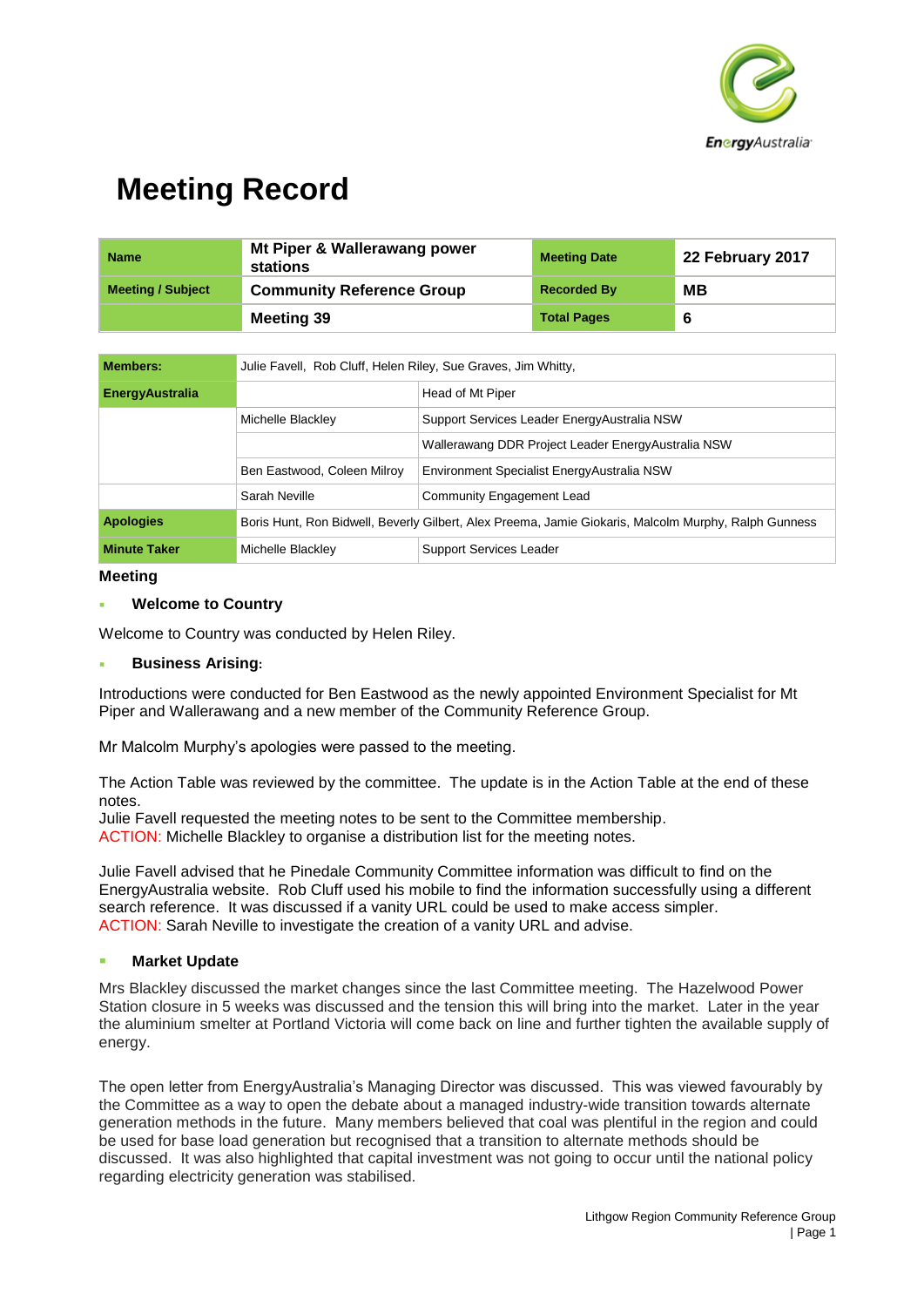

| <b>Name</b>              | Mt Piper & Wallerawang power<br>stations | <b>Meeting Date</b> | 22 February 2017 |
|--------------------------|------------------------------------------|---------------------|------------------|
| <b>Meeting / Subject</b> | <b>Community Reference Group</b>         | <b>Recorded By</b>  | MВ               |
|                          | Meeting 39                               | <b>Total Pages</b>  | 6                |

| <b>Members:</b>        | Julie Favell, Rob Cluff, Helen Riley, Sue Graves, Jim Whitty,                                        |                                                     |  |
|------------------------|------------------------------------------------------------------------------------------------------|-----------------------------------------------------|--|
| <b>EnergyAustralia</b> |                                                                                                      | Head of Mt Piper                                    |  |
|                        | Michelle Blackley                                                                                    | Support Services Leader Energy Australia NSW        |  |
|                        |                                                                                                      | Wallerawang DDR Project Leader Energy Australia NSW |  |
|                        | Ben Eastwood, Coleen Milroy                                                                          | Environment Specialist EnergyAustralia NSW          |  |
|                        | Sarah Neville                                                                                        | Community Engagement Lead                           |  |
| <b>Apologies</b>       | Boris Hunt, Ron Bidwell, Beverly Gilbert, Alex Preema, Jamie Giokaris, Malcolm Murphy, Ralph Gunness |                                                     |  |
| <b>Minute Taker</b>    | Michelle Blackley                                                                                    | <b>Support Services Leader</b>                      |  |

#### **Meeting**

#### **Welcome to Country**

Welcome to Country was conducted by Helen Riley.

#### **Business Arising:**

Introductions were conducted for Ben Eastwood as the newly appointed Environment Specialist for Mt Piper and Wallerawang and a new member of the Community Reference Group.

Mr Malcolm Murphy's apologies were passed to the meeting.

The Action Table was reviewed by the committee. The update is in the Action Table at the end of these notes.

Julie Favell requested the meeting notes to be sent to the Committee membership. ACTION: Michelle Blackley to organise a distribution list for the meeting notes.

Julie Favell advised that he Pinedale Community Committee information was difficult to find on the EnergyAustralia website. Rob Cluff used his mobile to find the information successfully using a different search reference. It was discussed if a vanity URL could be used to make access simpler. ACTION: Sarah Neville to investigate the creation of a vanity URL and advise.

#### **Market Update**

Mrs Blackley discussed the market changes since the last Committee meeting. The Hazelwood Power Station closure in 5 weeks was discussed and the tension this will bring into the market. Later in the year the aluminium smelter at Portland Victoria will come back on line and further tighten the available supply of energy.

The open letter from EnergyAustralia's Managing Director was discussed. This was viewed favourably by the Committee as a way to open the debate about a managed industry-wide transition towards alternate generation methods in the future. Many members believed that coal was plentiful in the region and could be used for base load generation but recognised that a transition to alternate methods should be discussed. It was also highlighted that capital investment was not going to occur until the national policy regarding electricity generation was stabilised.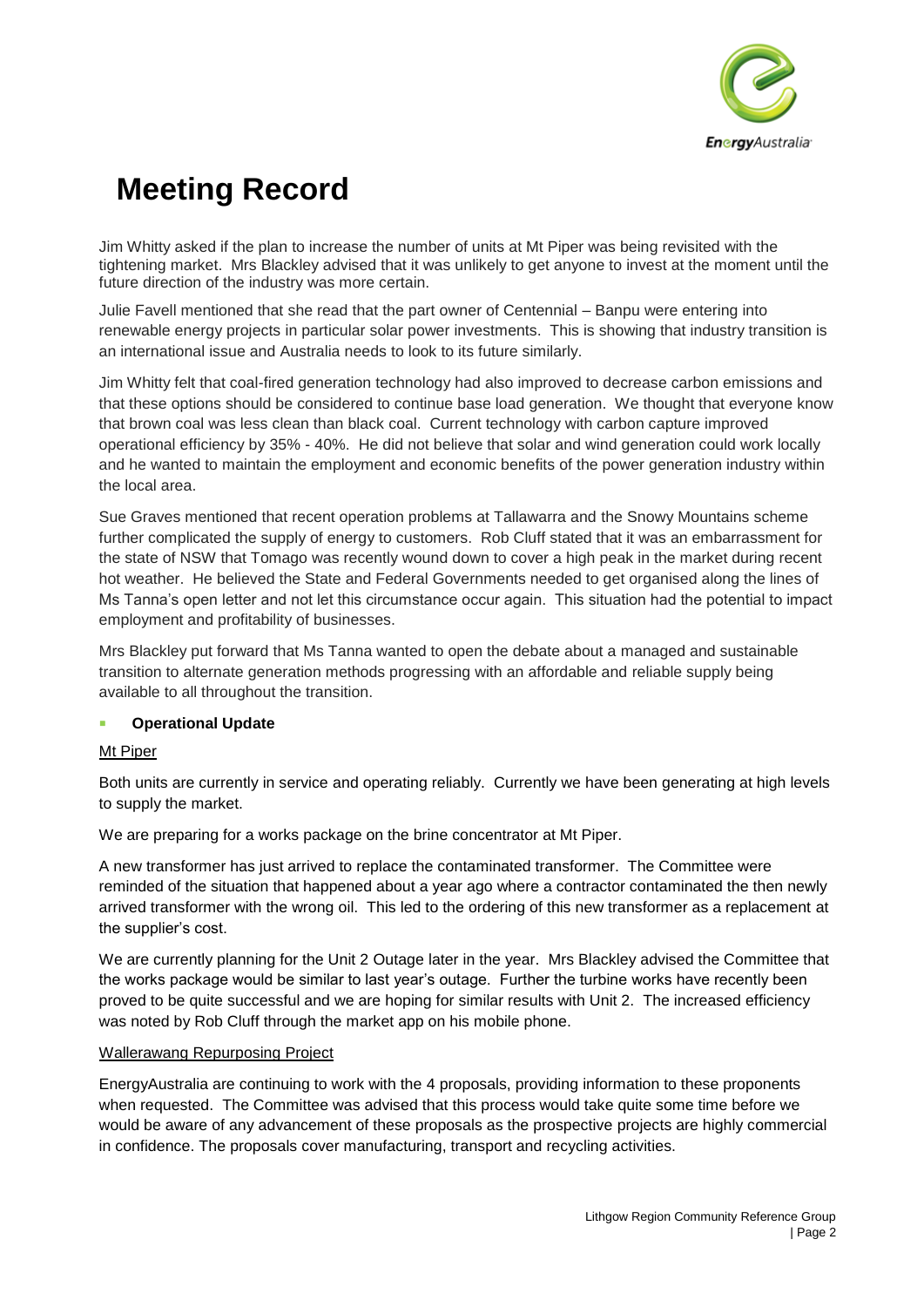

Jim Whitty asked if the plan to increase the number of units at Mt Piper was being revisited with the tightening market. Mrs Blackley advised that it was unlikely to get anyone to invest at the moment until the future direction of the industry was more certain.

Julie Favell mentioned that she read that the part owner of Centennial – Banpu were entering into renewable energy projects in particular solar power investments. This is showing that industry transition is an international issue and Australia needs to look to its future similarly.

Jim Whitty felt that coal-fired generation technology had also improved to decrease carbon emissions and that these options should be considered to continue base load generation. We thought that everyone know that brown coal was less clean than black coal. Current technology with carbon capture improved operational efficiency by 35% - 40%. He did not believe that solar and wind generation could work locally and he wanted to maintain the employment and economic benefits of the power generation industry within the local area.

Sue Graves mentioned that recent operation problems at Tallawarra and the Snowy Mountains scheme further complicated the supply of energy to customers. Rob Cluff stated that it was an embarrassment for the state of NSW that Tomago was recently wound down to cover a high peak in the market during recent hot weather. He believed the State and Federal Governments needed to get organised along the lines of Ms Tanna's open letter and not let this circumstance occur again. This situation had the potential to impact employment and profitability of businesses.

Mrs Blackley put forward that Ms Tanna wanted to open the debate about a managed and sustainable transition to alternate generation methods progressing with an affordable and reliable supply being available to all throughout the transition.

#### **Operational Update**

### Mt Piper

Both units are currently in service and operating reliably. Currently we have been generating at high levels to supply the market.

We are preparing for a works package on the brine concentrator at Mt Piper.

A new transformer has just arrived to replace the contaminated transformer. The Committee were reminded of the situation that happened about a year ago where a contractor contaminated the then newly arrived transformer with the wrong oil. This led to the ordering of this new transformer as a replacement at the supplier's cost.

We are currently planning for the Unit 2 Outage later in the year. Mrs Blackley advised the Committee that the works package would be similar to last year's outage. Further the turbine works have recently been proved to be quite successful and we are hoping for similar results with Unit 2. The increased efficiency was noted by Rob Cluff through the market app on his mobile phone.

#### Wallerawang Repurposing Project

EnergyAustralia are continuing to work with the 4 proposals, providing information to these proponents when requested. The Committee was advised that this process would take quite some time before we would be aware of any advancement of these proposals as the prospective projects are highly commercial in confidence. The proposals cover manufacturing, transport and recycling activities.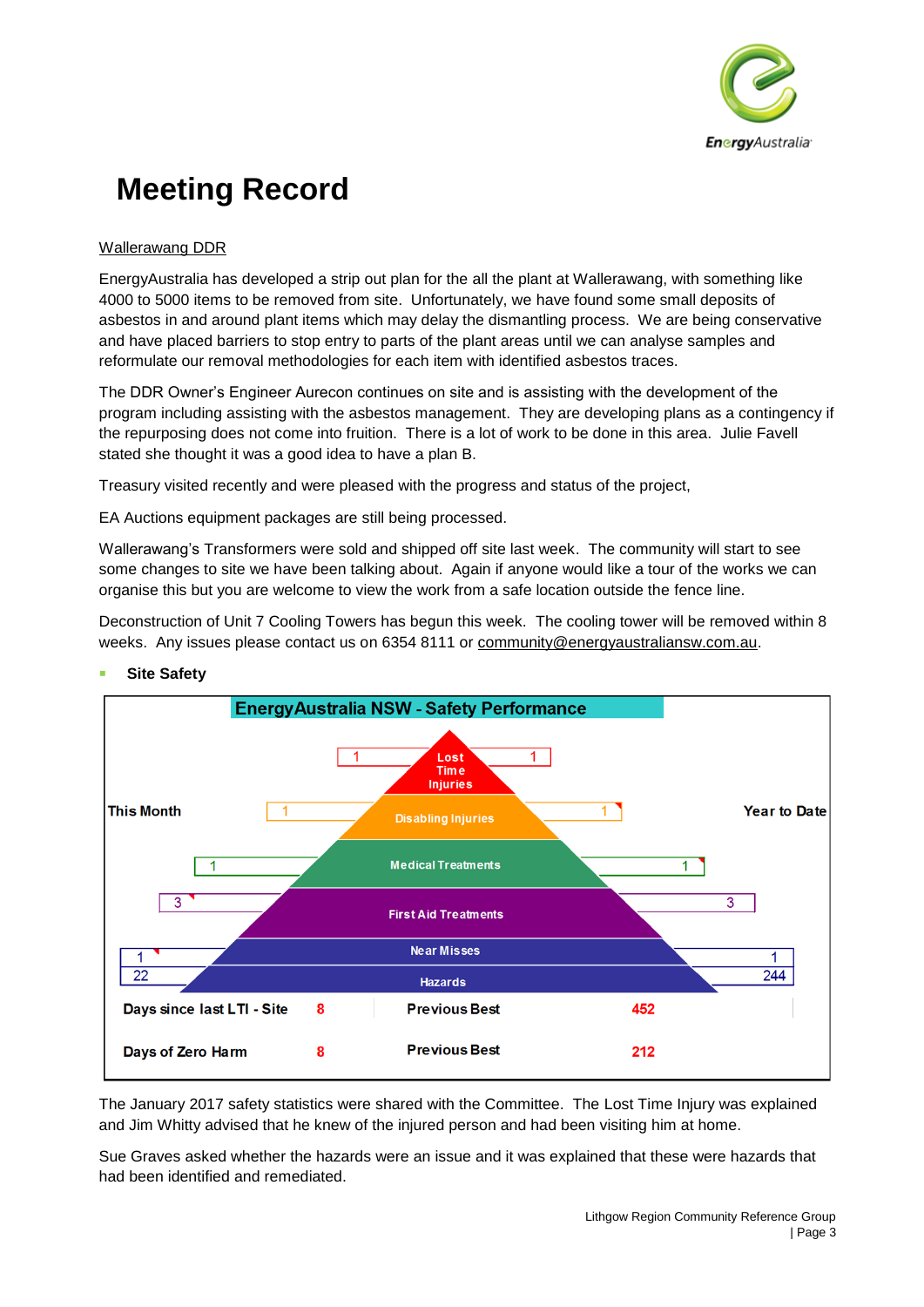

### Wallerawang DDR

EnergyAustralia has developed a strip out plan for the all the plant at Wallerawang, with something like 4000 to 5000 items to be removed from site. Unfortunately, we have found some small deposits of asbestos in and around plant items which may delay the dismantling process. We are being conservative and have placed barriers to stop entry to parts of the plant areas until we can analyse samples and reformulate our removal methodologies for each item with identified asbestos traces.

The DDR Owner's Engineer Aurecon continues on site and is assisting with the development of the program including assisting with the asbestos management. They are developing plans as a contingency if the repurposing does not come into fruition. There is a lot of work to be done in this area. Julie Favell stated she thought it was a good idea to have a plan B.

Treasury visited recently and were pleased with the progress and status of the project,

EA Auctions equipment packages are still being processed.

Wallerawang's Transformers were sold and shipped off site last week. The community will start to see some changes to site we have been talking about. Again if anyone would like a tour of the works we can organise this but you are welcome to view the work from a safe location outside the fence line.

Deconstruction of Unit 7 Cooling Towers has begun this week. The cooling tower will be removed within 8 weeks. Any issues please contact us on 6354 8111 or [community@energyaustraliansw.com.au.](mailto:community@energyaustraliansw.com.au)



#### **Site Safety**

The January 2017 safety statistics were shared with the Committee. The Lost Time Injury was explained and Jim Whitty advised that he knew of the injured person and had been visiting him at home.

Sue Graves asked whether the hazards were an issue and it was explained that these were hazards that had been identified and remediated.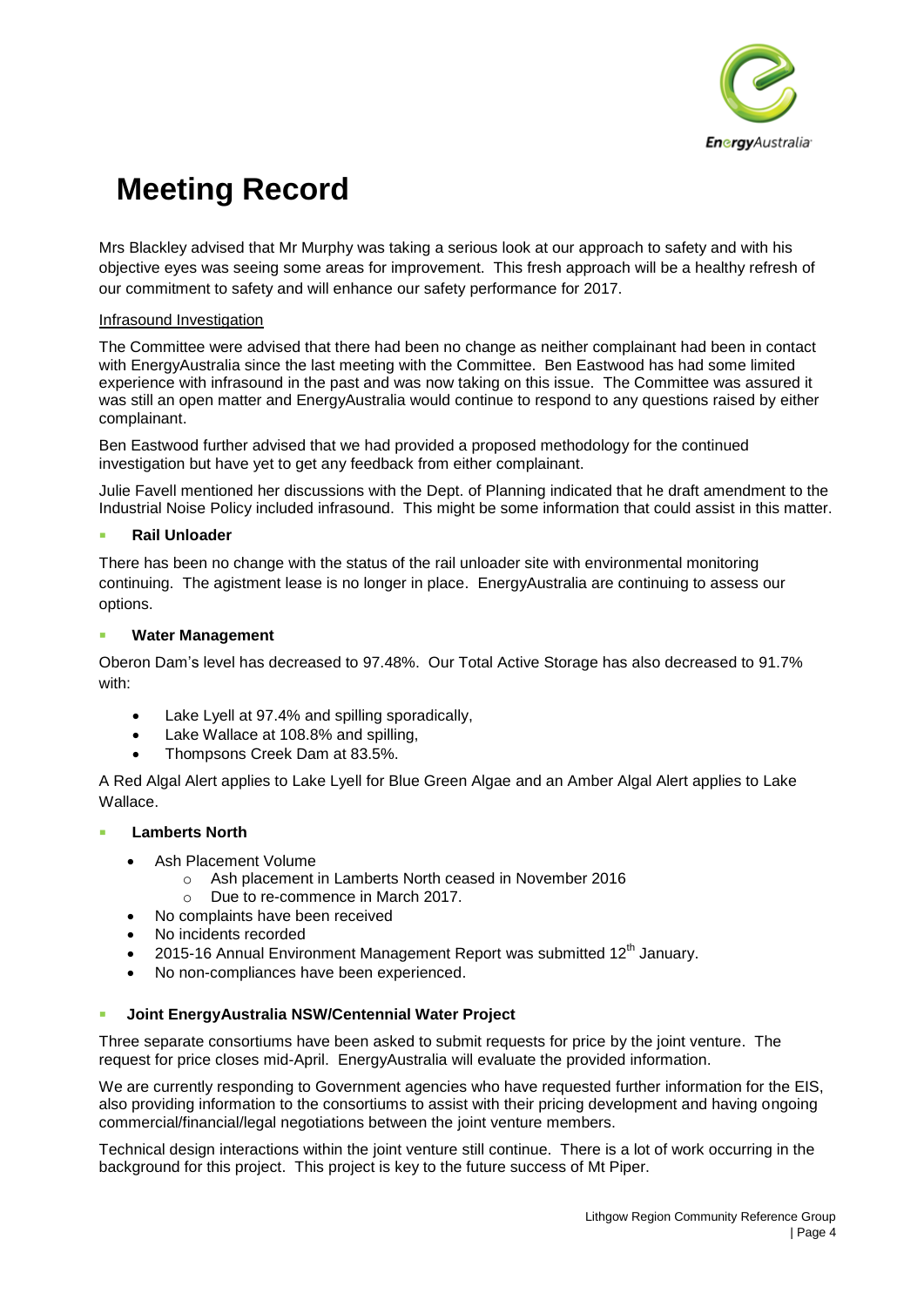

Mrs Blackley advised that Mr Murphy was taking a serious look at our approach to safety and with his objective eyes was seeing some areas for improvement. This fresh approach will be a healthy refresh of our commitment to safety and will enhance our safety performance for 2017.

#### Infrasound Investigation

The Committee were advised that there had been no change as neither complainant had been in contact with EnergyAustralia since the last meeting with the Committee. Ben Eastwood has had some limited experience with infrasound in the past and was now taking on this issue. The Committee was assured it was still an open matter and EnergyAustralia would continue to respond to any questions raised by either complainant.

Ben Eastwood further advised that we had provided a proposed methodology for the continued investigation but have yet to get any feedback from either complainant.

Julie Favell mentioned her discussions with the Dept. of Planning indicated that he draft amendment to the Industrial Noise Policy included infrasound. This might be some information that could assist in this matter.

### **Rail Unloader**

There has been no change with the status of the rail unloader site with environmental monitoring continuing. The agistment lease is no longer in place. EnergyAustralia are continuing to assess our options.

### **Water Management**

Oberon Dam's level has decreased to 97.48%. Our Total Active Storage has also decreased to 91.7% with:

- Lake Lyell at 97.4% and spilling sporadically,
- Lake Wallace at 108.8% and spilling,
- Thompsons Creek Dam at 83.5%.

A Red Algal Alert applies to Lake Lyell for Blue Green Algae and an Amber Algal Alert applies to Lake Wallace.

#### **Lamberts North**

- Ash Placement Volume
	- Ash placement in Lamberts North ceased in November 2016
	- o Due to re-commence in March 2017.
	- No complaints have been received
- No incidents recorded
- 2015-16 Annual Environment Management Report was submitted 12<sup>th</sup> January.
- No non-compliances have been experienced.

#### **Joint EnergyAustralia NSW/Centennial Water Project**

Three separate consortiums have been asked to submit requests for price by the joint venture. The request for price closes mid-April. EnergyAustralia will evaluate the provided information.

We are currently responding to Government agencies who have requested further information for the EIS. also providing information to the consortiums to assist with their pricing development and having ongoing commercial/financial/legal negotiations between the joint venture members.

Technical design interactions within the joint venture still continue. There is a lot of work occurring in the background for this project. This project is key to the future success of Mt Piper.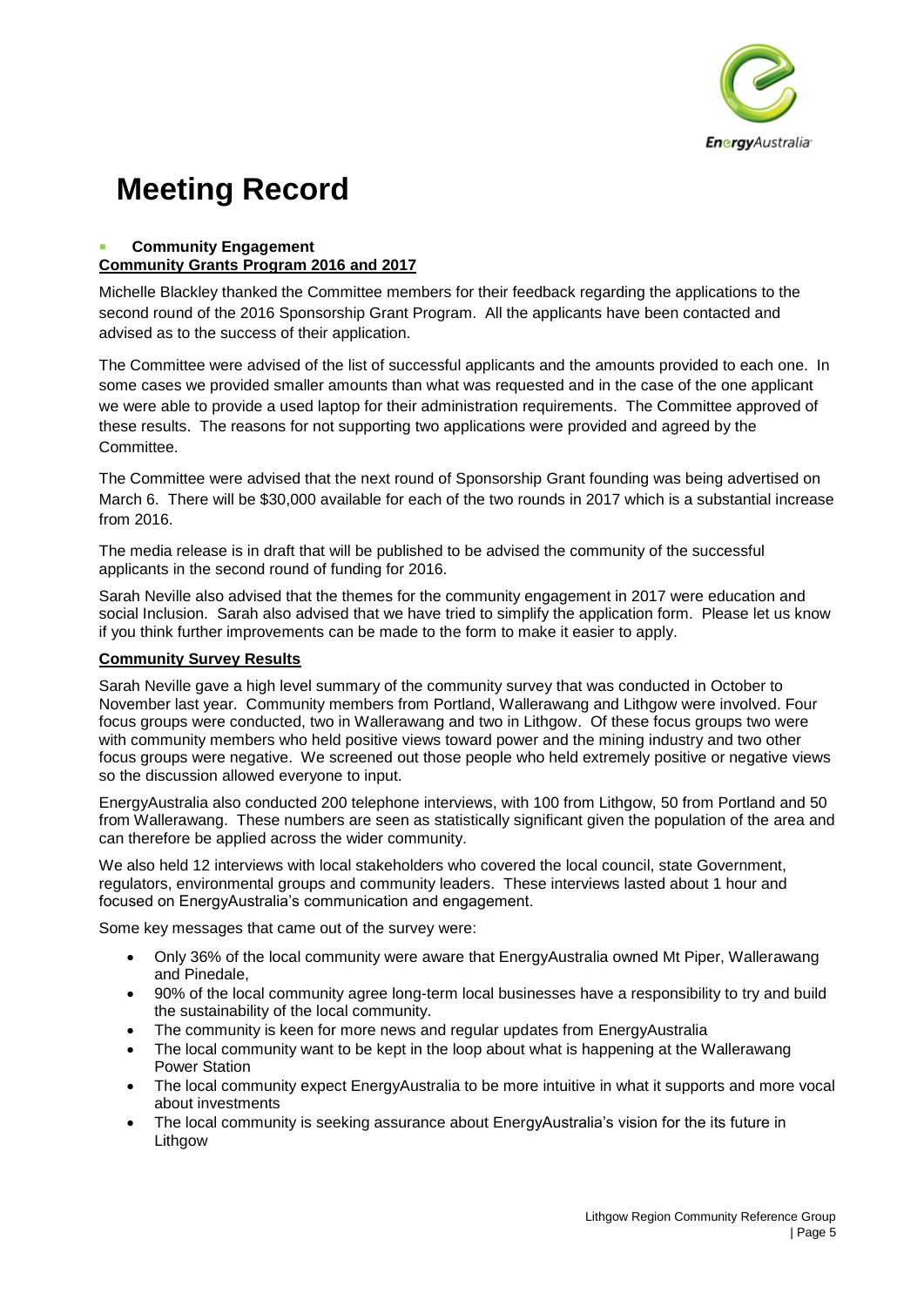

#### **Community Engagement Community Grants Program 2016 and 2017**

Michelle Blackley thanked the Committee members for their feedback regarding the applications to the second round of the 2016 Sponsorship Grant Program. All the applicants have been contacted and advised as to the success of their application.

The Committee were advised of the list of successful applicants and the amounts provided to each one. In some cases we provided smaller amounts than what was requested and in the case of the one applicant we were able to provide a used laptop for their administration requirements. The Committee approved of these results. The reasons for not supporting two applications were provided and agreed by the Committee.

The Committee were advised that the next round of Sponsorship Grant founding was being advertised on March 6. There will be \$30,000 available for each of the two rounds in 2017 which is a substantial increase from 2016.

The media release is in draft that will be published to be advised the community of the successful applicants in the second round of funding for 2016.

Sarah Neville also advised that the themes for the community engagement in 2017 were education and social Inclusion. Sarah also advised that we have tried to simplify the application form. Please let us know if you think further improvements can be made to the form to make it easier to apply.

### **Community Survey Results**

Sarah Neville gave a high level summary of the community survey that was conducted in October to November last year. Community members from Portland, Wallerawang and Lithgow were involved. Four focus groups were conducted, two in Wallerawang and two in Lithgow. Of these focus groups two were with community members who held positive views toward power and the mining industry and two other focus groups were negative. We screened out those people who held extremely positive or negative views so the discussion allowed everyone to input.

EnergyAustralia also conducted 200 telephone interviews, with 100 from Lithgow, 50 from Portland and 50 from Wallerawang. These numbers are seen as statistically significant given the population of the area and can therefore be applied across the wider community.

We also held 12 interviews with local stakeholders who covered the local council, state Government, regulators, environmental groups and community leaders. These interviews lasted about 1 hour and focused on EnergyAustralia's communication and engagement.

Some key messages that came out of the survey were:

- Only 36% of the local community were aware that EnergyAustralia owned Mt Piper, Wallerawang and Pinedale,
- 90% of the local community agree long-term local businesses have a responsibility to try and build the sustainability of the local community.
- The community is keen for more news and regular updates from EnergyAustralia
- The local community want to be kept in the loop about what is happening at the Wallerawang Power Station
- The local community expect EnergyAustralia to be more intuitive in what it supports and more vocal about investments
- The local community is seeking assurance about EnergyAustralia's vision for the its future in Lithgow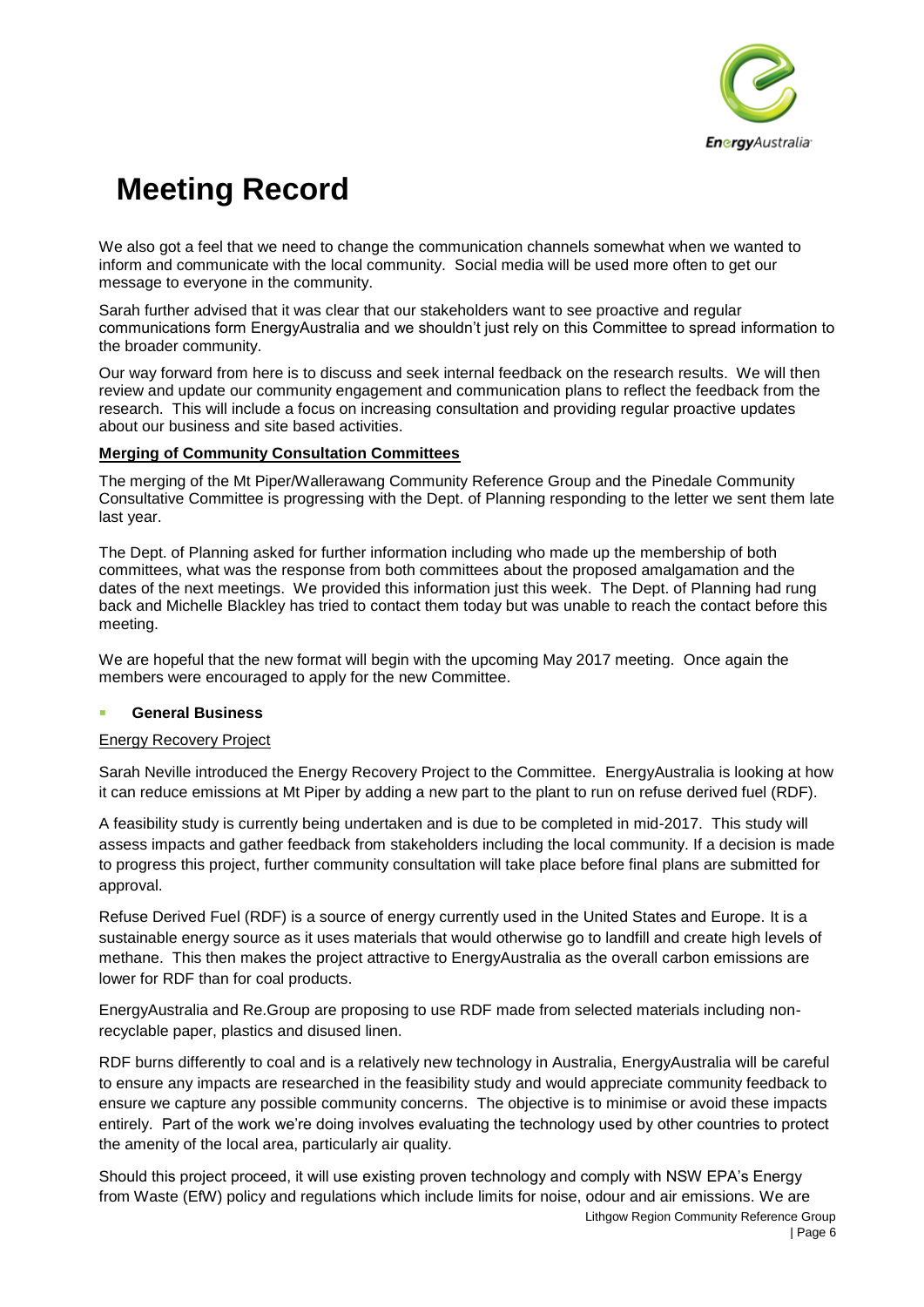

We also got a feel that we need to change the communication channels somewhat when we wanted to inform and communicate with the local community. Social media will be used more often to get our message to everyone in the community.

Sarah further advised that it was clear that our stakeholders want to see proactive and regular communications form EnergyAustralia and we shouldn't just rely on this Committee to spread information to the broader community.

Our way forward from here is to discuss and seek internal feedback on the research results. We will then review and update our community engagement and communication plans to reflect the feedback from the research. This will include a focus on increasing consultation and providing regular proactive updates about our business and site based activities.

### **Merging of Community Consultation Committees**

The merging of the Mt Piper/Wallerawang Community Reference Group and the Pinedale Community Consultative Committee is progressing with the Dept. of Planning responding to the letter we sent them late last year.

The Dept. of Planning asked for further information including who made up the membership of both committees, what was the response from both committees about the proposed amalgamation and the dates of the next meetings. We provided this information just this week. The Dept. of Planning had rung back and Michelle Blackley has tried to contact them today but was unable to reach the contact before this meeting.

We are hopeful that the new format will begin with the upcoming May 2017 meeting. Once again the members were encouraged to apply for the new Committee.

#### **General Business**

#### Energy Recovery Project

Sarah Neville introduced the Energy Recovery Project to the Committee. EnergyAustralia is looking at how it can reduce emissions at Mt Piper by adding a new part to the plant to run on refuse derived fuel (RDF).

A feasibility study is currently being undertaken and is due to be completed in mid-2017. This study will assess impacts and gather feedback from stakeholders including the local community. If a decision is made to progress this project, further community consultation will take place before final plans are submitted for approval.

Refuse Derived Fuel (RDF) is a source of energy currently used in the United States and Europe. It is a sustainable energy source as it uses materials that would otherwise go to landfill and create high levels of methane. This then makes the project attractive to EnergyAustralia as the overall carbon emissions are lower for RDF than for coal products.

EnergyAustralia and Re.Group are proposing to use RDF made from selected materials including nonrecyclable paper, plastics and disused linen.

RDF burns differently to coal and is a relatively new technology in Australia, EnergyAustralia will be careful to ensure any impacts are researched in the feasibility study and would appreciate community feedback to ensure we capture any possible community concerns. The objective is to minimise or avoid these impacts entirely. Part of the work we're doing involves evaluating the technology used by other countries to protect the amenity of the local area, particularly air quality.

Lithgow Region Community Reference Group Should this project proceed, it will use existing proven technology and comply with NSW EPA's Energy from Waste (EfW) policy and regulations which include limits for noise, odour and air emissions. We are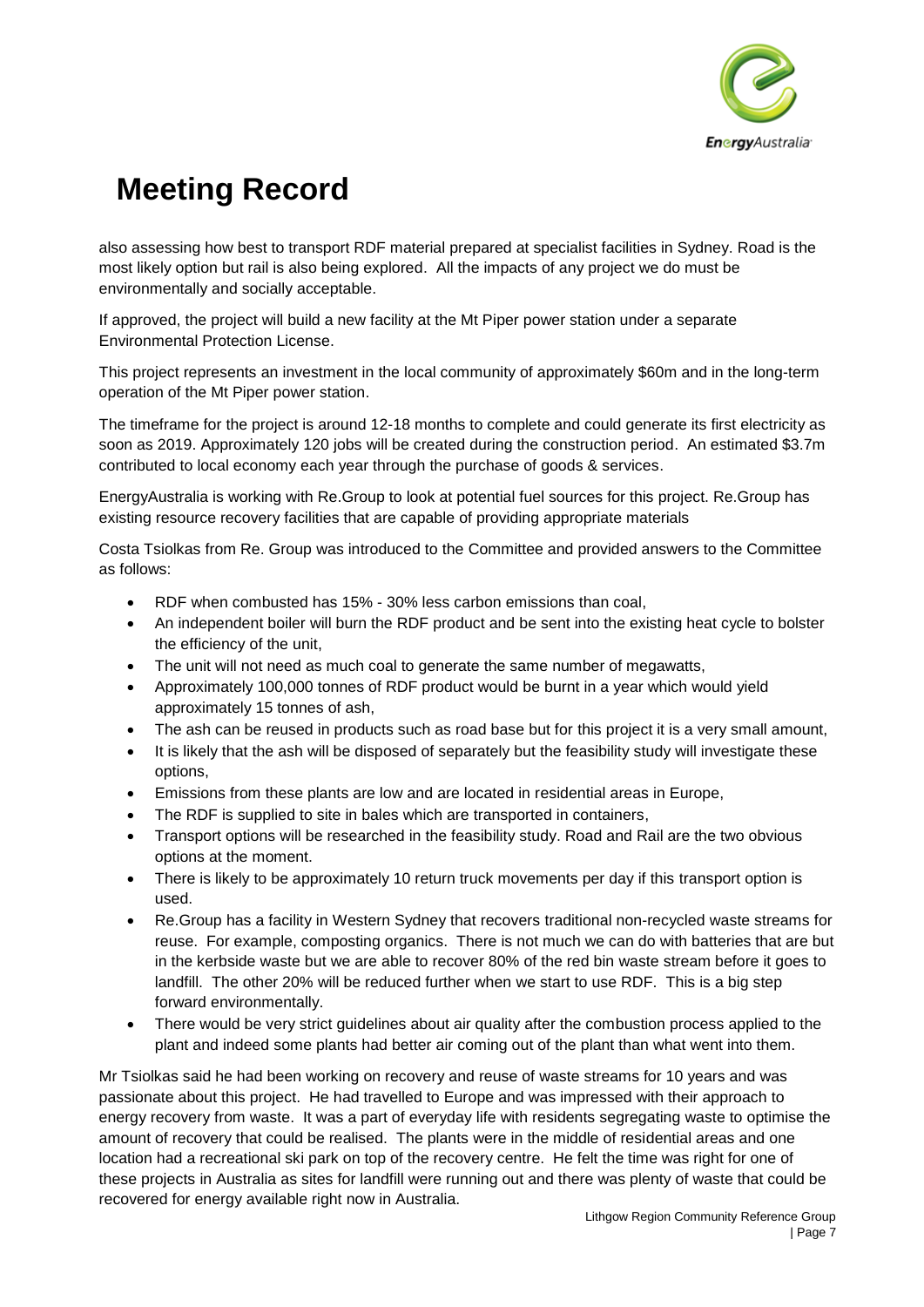

also assessing how best to transport RDF material prepared at specialist facilities in Sydney. Road is the most likely option but rail is also being explored. All the impacts of any project we do must be environmentally and socially acceptable.

If approved, the project will build a new facility at the Mt Piper power station under a separate Environmental Protection License.

This project represents an investment in the local community of approximately \$60m and in the long-term operation of the Mt Piper power station.

The timeframe for the project is around 12-18 months to complete and could generate its first electricity as soon as 2019. Approximately 120 jobs will be created during the construction period. An estimated \$3.7m contributed to local economy each year through the purchase of goods & services.

EnergyAustralia is working with Re.Group to look at potential fuel sources for this project. Re.Group has existing resource recovery facilities that are capable of providing appropriate materials

Costa Tsiolkas from Re. Group was introduced to the Committee and provided answers to the Committee as follows:

- RDF when combusted has 15% 30% less carbon emissions than coal,
- An independent boiler will burn the RDF product and be sent into the existing heat cycle to bolster the efficiency of the unit,
- The unit will not need as much coal to generate the same number of megawatts,
- Approximately 100,000 tonnes of RDF product would be burnt in a year which would yield approximately 15 tonnes of ash,
- The ash can be reused in products such as road base but for this project it is a very small amount,
- It is likely that the ash will be disposed of separately but the feasibility study will investigate these options,
- Emissions from these plants are low and are located in residential areas in Europe,
- The RDF is supplied to site in bales which are transported in containers,
- Transport options will be researched in the feasibility study. Road and Rail are the two obvious options at the moment.
- There is likely to be approximately 10 return truck movements per day if this transport option is used.
- Re.Group has a facility in Western Sydney that recovers traditional non-recycled waste streams for reuse. For example, composting organics. There is not much we can do with batteries that are but in the kerbside waste but we are able to recover 80% of the red bin waste stream before it goes to landfill. The other 20% will be reduced further when we start to use RDF. This is a big step forward environmentally.
- There would be very strict guidelines about air quality after the combustion process applied to the plant and indeed some plants had better air coming out of the plant than what went into them.

Mr Tsiolkas said he had been working on recovery and reuse of waste streams for 10 years and was passionate about this project. He had travelled to Europe and was impressed with their approach to energy recovery from waste. It was a part of everyday life with residents segregating waste to optimise the amount of recovery that could be realised. The plants were in the middle of residential areas and one location had a recreational ski park on top of the recovery centre. He felt the time was right for one of these projects in Australia as sites for landfill were running out and there was plenty of waste that could be recovered for energy available right now in Australia.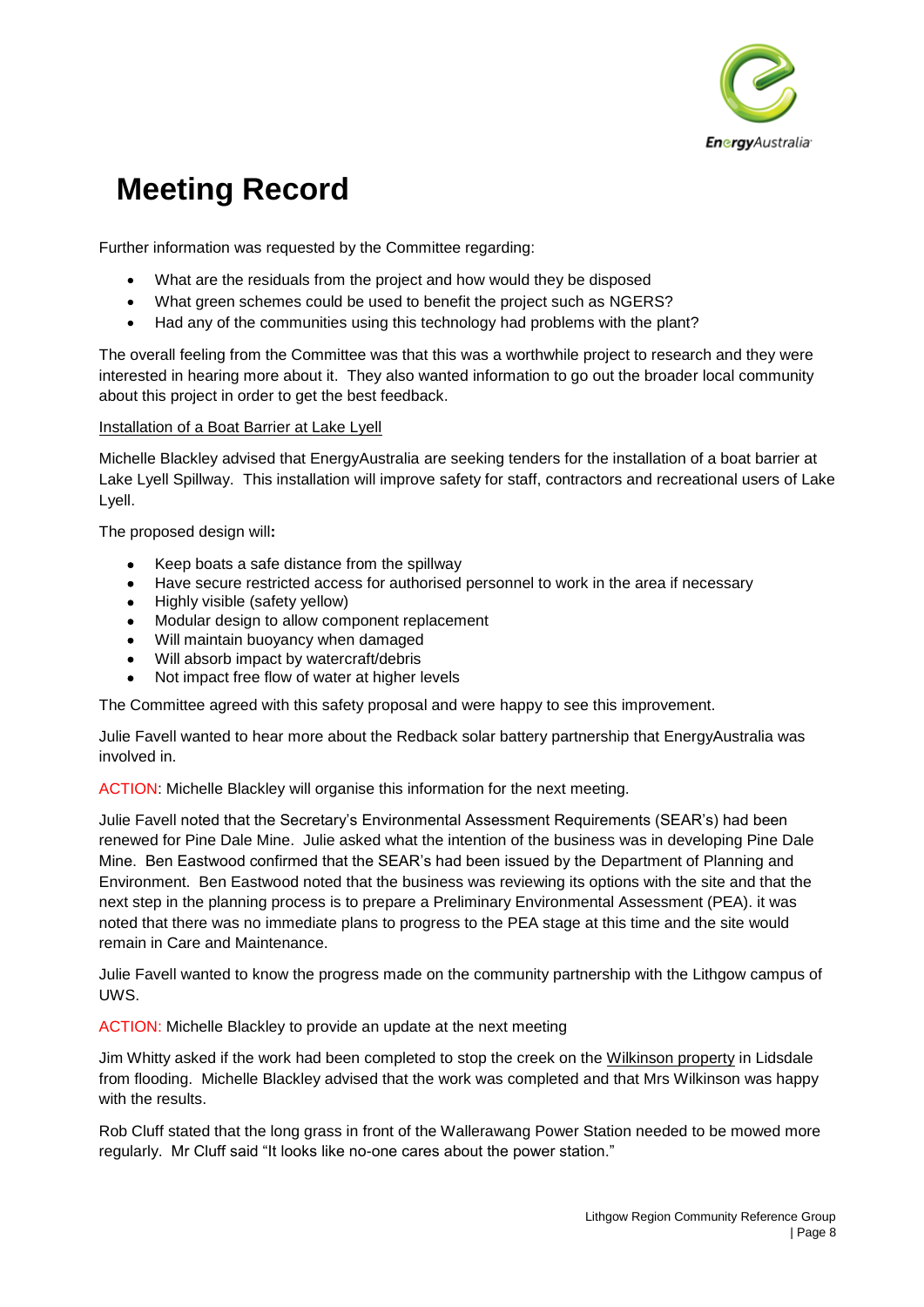

Further information was requested by the Committee regarding:

- What are the residuals from the project and how would they be disposed
- What green schemes could be used to benefit the project such as NGERS?
- Had any of the communities using this technology had problems with the plant?

The overall feeling from the Committee was that this was a worthwhile project to research and they were interested in hearing more about it. They also wanted information to go out the broader local community about this project in order to get the best feedback.

#### Installation of a Boat Barrier at Lake Lyell

Michelle Blackley advised that EnergyAustralia are seeking tenders for the installation of a boat barrier at Lake Lyell Spillway. This installation will improve safety for staff, contractors and recreational users of Lake Lyell.

The proposed design will**:**

- Keep boats a safe distance from the spillway
- Have secure restricted access for authorised personnel to work in the area if necessary
- Highly visible (safety yellow)
- Modular design to allow component replacement
- Will maintain buoyancy when damaged
- Will absorb impact by watercraft/debris
- Not impact free flow of water at higher levels

The Committee agreed with this safety proposal and were happy to see this improvement.

Julie Favell wanted to hear more about the Redback solar battery partnership that EnergyAustralia was involved in.

ACTION: Michelle Blackley will organise this information for the next meeting.

Julie Favell noted that the Secretary's Environmental Assessment Requirements (SEAR's) had been renewed for Pine Dale Mine. Julie asked what the intention of the business was in developing Pine Dale Mine. Ben Eastwood confirmed that the SEAR's had been issued by the Department of Planning and Environment. Ben Eastwood noted that the business was reviewing its options with the site and that the next step in the planning process is to prepare a Preliminary Environmental Assessment (PEA). it was noted that there was no immediate plans to progress to the PEA stage at this time and the site would remain in Care and Maintenance.

Julie Favell wanted to know the progress made on the community partnership with the Lithgow campus of UWS.

ACTION: Michelle Blackley to provide an update at the next meeting

Jim Whitty asked if the work had been completed to stop the creek on the Wilkinson property in Lidsdale from flooding. Michelle Blackley advised that the work was completed and that Mrs Wilkinson was happy with the results.

Rob Cluff stated that the long grass in front of the Wallerawang Power Station needed to be mowed more regularly. Mr Cluff said "It looks like no-one cares about the power station."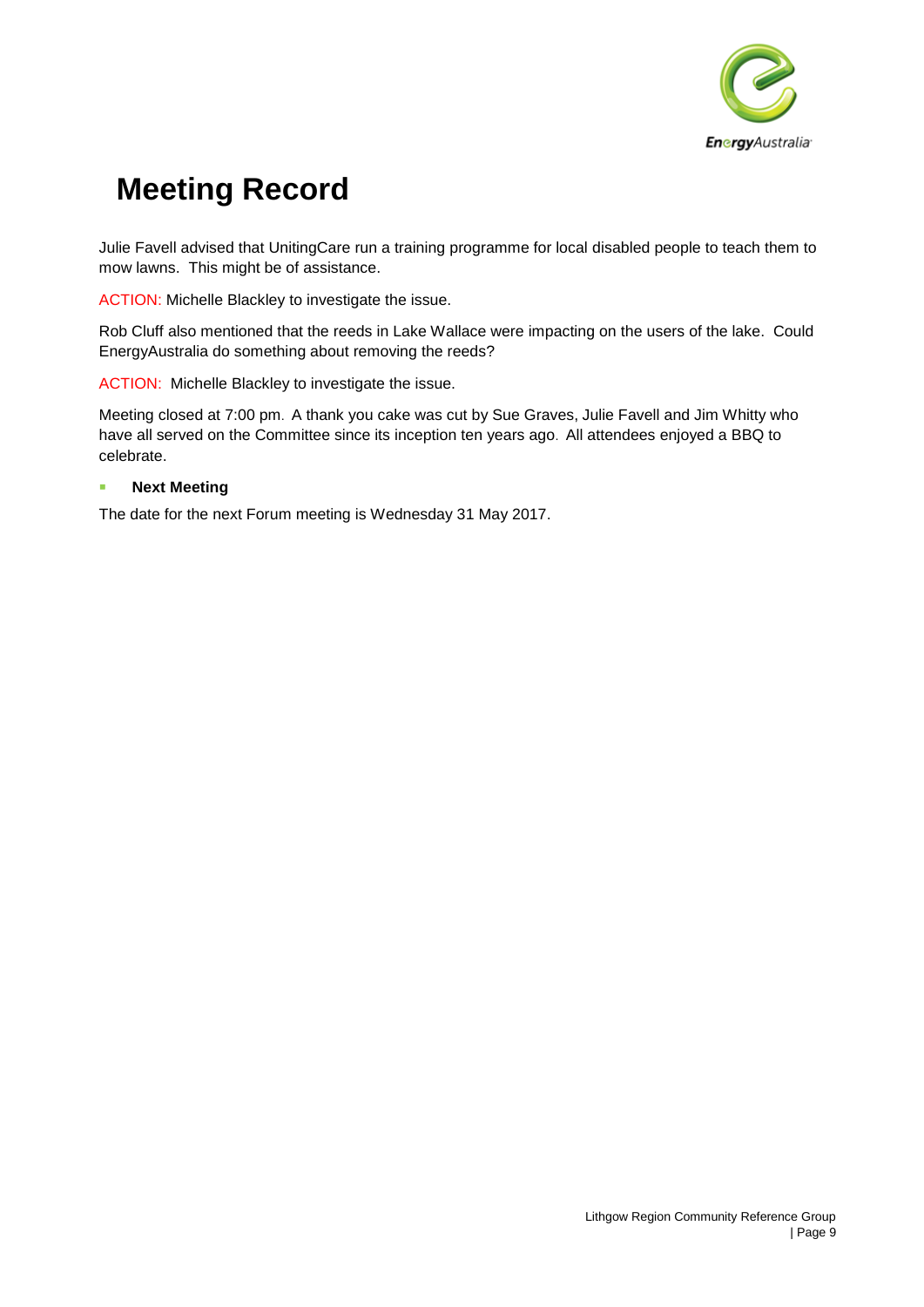

Julie Favell advised that UnitingCare run a training programme for local disabled people to teach them to mow lawns. This might be of assistance.

ACTION: Michelle Blackley to investigate the issue.

Rob Cluff also mentioned that the reeds in Lake Wallace were impacting on the users of the lake. Could EnergyAustralia do something about removing the reeds?

ACTION: Michelle Blackley to investigate the issue.

Meeting closed at 7:00 pm. A thank you cake was cut by Sue Graves, Julie Favell and Jim Whitty who have all served on the Committee since its inception ten years ago. All attendees enjoyed a BBQ to celebrate.

#### **Next Meeting**

The date for the next Forum meeting is Wednesday 31 May 2017.